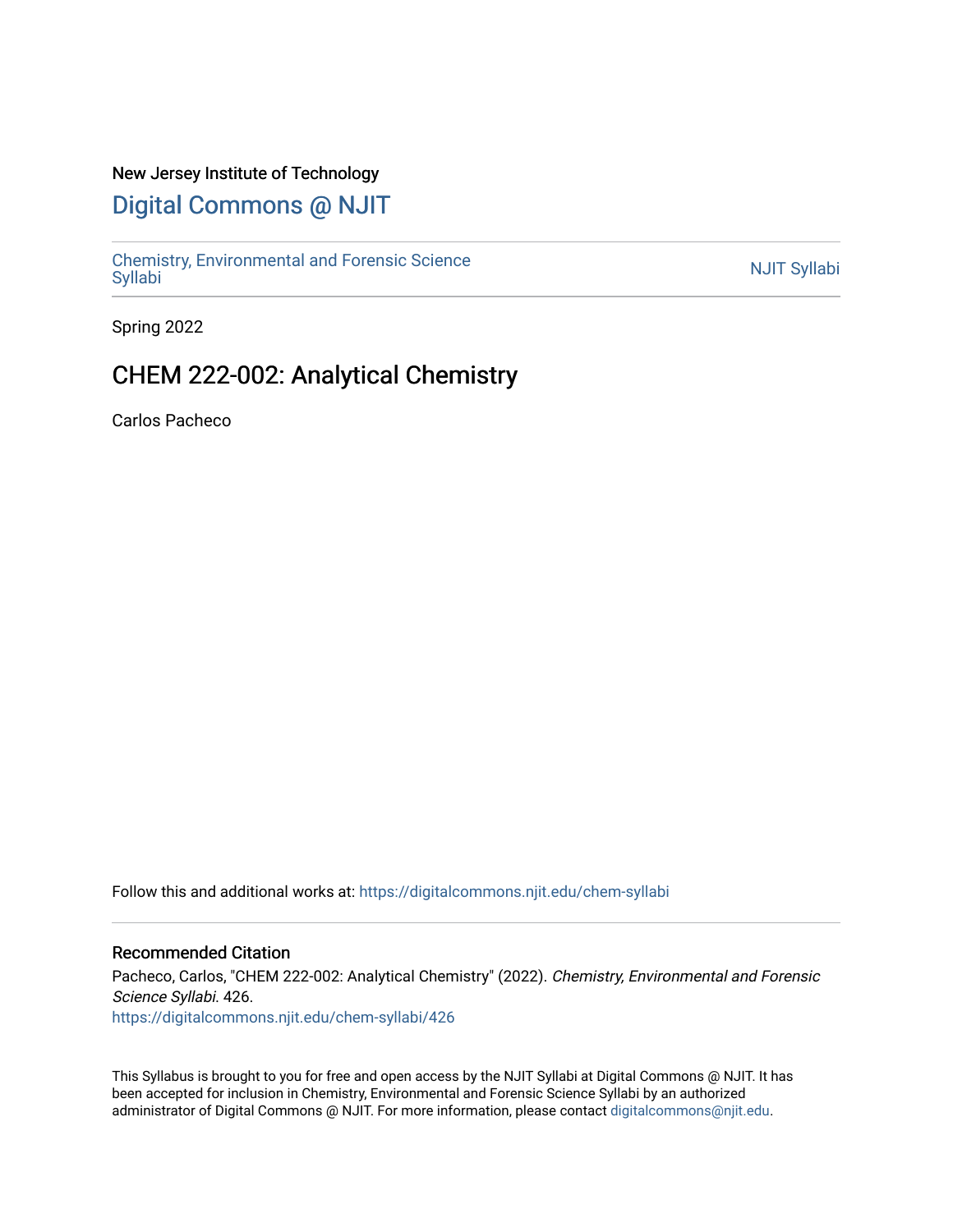## New Jersey Institute of Technology

# [Digital Commons @ NJIT](https://digitalcommons.njit.edu/)

Chemistry, Environmental and Forensic Science<br>Syllabi

Spring 2022

# CHEM 222-002: Analytical Chemistry

Carlos Pacheco

Follow this and additional works at: [https://digitalcommons.njit.edu/chem-syllabi](https://digitalcommons.njit.edu/chem-syllabi?utm_source=digitalcommons.njit.edu%2Fchem-syllabi%2F426&utm_medium=PDF&utm_campaign=PDFCoverPages) 

### Recommended Citation

Pacheco, Carlos, "CHEM 222-002: Analytical Chemistry" (2022). Chemistry, Environmental and Forensic Science Syllabi. 426. [https://digitalcommons.njit.edu/chem-syllabi/426](https://digitalcommons.njit.edu/chem-syllabi/426?utm_source=digitalcommons.njit.edu%2Fchem-syllabi%2F426&utm_medium=PDF&utm_campaign=PDFCoverPages) 

This Syllabus is brought to you for free and open access by the NJIT Syllabi at Digital Commons @ NJIT. It has been accepted for inclusion in Chemistry, Environmental and Forensic Science Syllabi by an authorized administrator of Digital Commons @ NJIT. For more information, please contact [digitalcommons@njit.edu.](mailto:digitalcommons@njit.edu)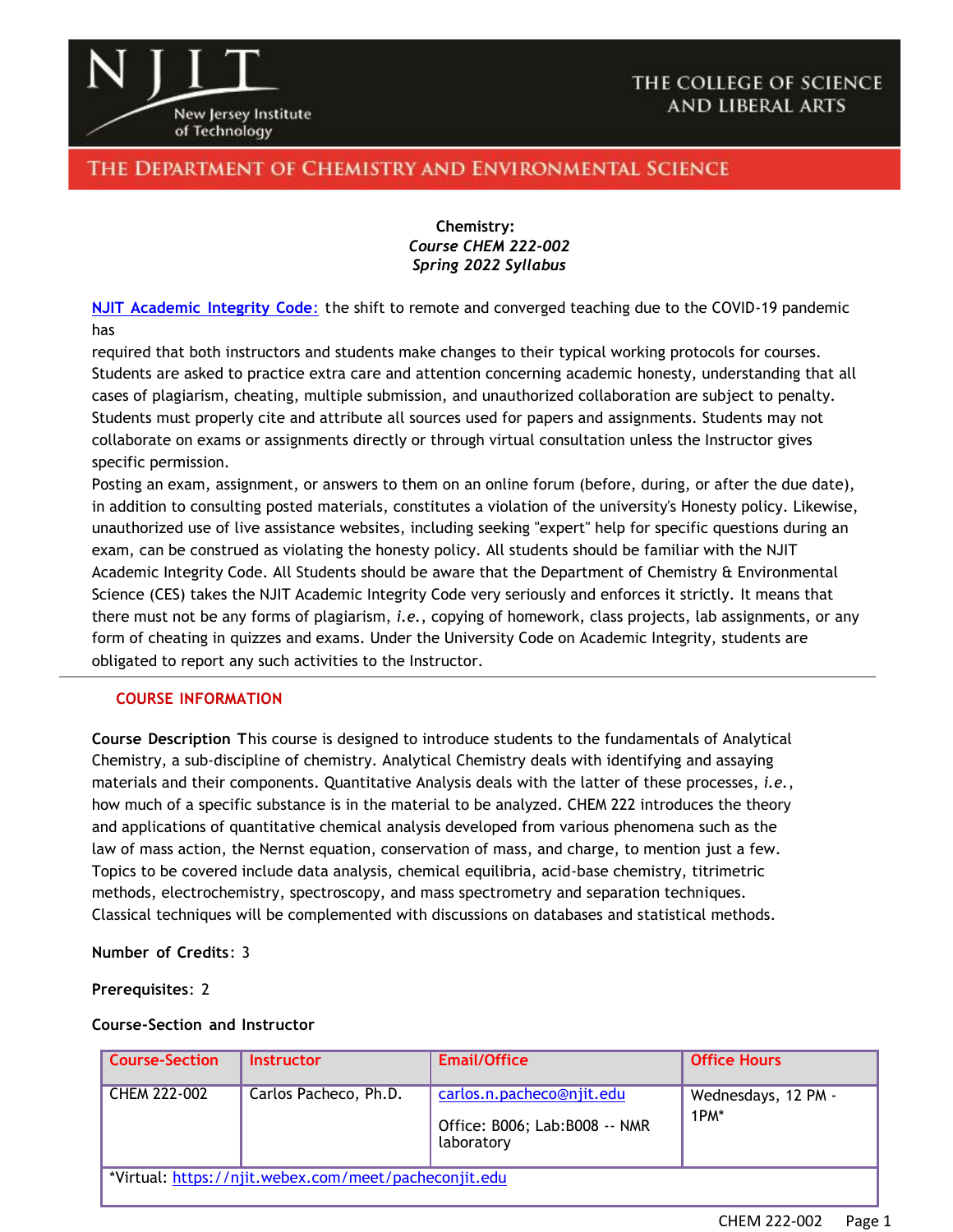

## THE COLLEGE OF SCIENCE **AND LIBERAL ARTS**

## THE DEPARTMENT OF CHEMISTRY AND ENVIRONMENTAL SCIENCE

**Chemistry:** *Course CHEM 222-002 Spring 2022 Syllabus*

**NJIT [Academic](https://www.njit.edu/policies/sites/policies/files/academic-integrity-code.pdf) Integrity Code**: the shift to remote and converged teaching due to the COVID-19 pandemic has

required that both instructors and students make changes to their typical working protocols for courses. Students are asked to practice extra care and attention concerning academic honesty, understanding that all cases of plagiarism, cheating, multiple submission, and unauthorized collaboration are subject to penalty. Students must properly cite and attribute all sources used for papers and assignments. Students may not collaborate on exams or assignments directly or through virtual consultation unless the Instructor gives specific permission.

Posting an exam, assignment, or answers to them on an online forum (before, during, or after the due date), in addition to consulting posted materials, constitutes a violation of the university's Honesty policy. Likewise, unauthorized use of live assistance websites, including seeking "expert" help for specific questions during an exam, can be construed as violating the honesty policy. All students should be familiar with the NJIT Academic Integrity Code. All Students should be aware that the Department of Chemistry & Environmental Science (CES) takes the NJIT Academic Integrity Code very seriously and enforces it strictly. It means that there must not be any forms of plagiarism, *i.e.*, copying of homework, class projects, lab assignments, or any form of cheating in quizzes and exams. Under the University Code on Academic Integrity, students are obligated to report any such activities to the Instructor.

#### **COURSE INFORMATION**

**Course Description T**his course is designed to introduce students to the fundamentals of Analytical Chemistry, a sub-discipline of chemistry. Analytical Chemistry deals with identifying and assaying materials and their components. Quantitative Analysis deals with the latter of these processes, *i.e.*, how much of a specific substance is in the material to be analyzed. CHEM 222 introduces the theory and applications of quantitative chemical analysis developed from various phenomena such as the law of mass action, the Nernst equation, conservation of mass, and charge, to mention just a few. Topics to be covered include data analysis, chemical equilibria, acid-base chemistry, titrimetric methods, electrochemistry, spectroscopy, and mass spectrometry and separation techniques. Classical techniques will be complemented with discussions on databases and statistical methods.

**Number of Credits**: 3

**Prerequisites**: 2

#### **Course-Section and Instructor**

| <b>Course-Section</b> | <b>Instructor</b>                                     | Email/Office                                                              | <b>Office Hours</b>         |
|-----------------------|-------------------------------------------------------|---------------------------------------------------------------------------|-----------------------------|
| CHEM 222-002          | Carlos Pacheco, Ph.D.                                 | carlos.n.pacheco@njit.edu<br>Office: B006; Lab: B008 -- NMR<br>laboratory | Wednesdays, 12 PM -<br>1PM* |
|                       | *Virtual: https://njit.webex.com/meet/pacheconjit.edu |                                                                           |                             |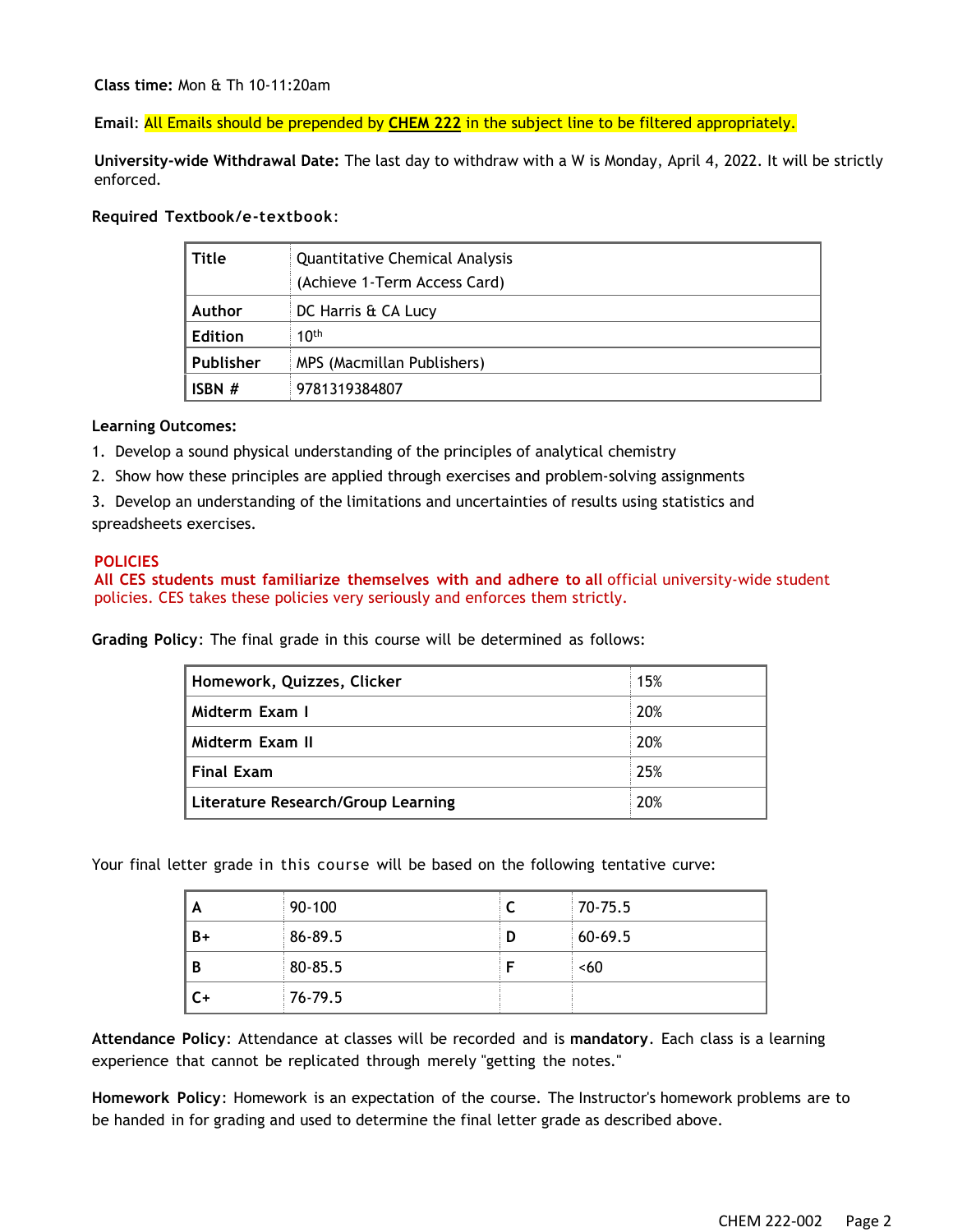**Class time:** Mon & Th 10-11:20am

**Email**: All Emails should be prepended by **CHEM 222** in the subject line to be filtered appropriately.

**University-wide Withdrawal Date:** The last day to withdraw with a W is Monday, April 4, 2022. It will be strictly enforced.

#### **Required Textbook/e-textbook**:

| <b>Title</b>   | Quantitative Chemical Analysis |  |
|----------------|--------------------------------|--|
|                | (Achieve 1-Term Access Card)   |  |
| Author         | DC Harris & CA Lucy            |  |
| <b>Edition</b> | 10 <sup>th</sup>               |  |
| Publisher      | MPS (Macmillan Publishers)     |  |
| ISBN#          | 9781319384807                  |  |

#### **Learning Outcomes:**

- 1. Develop a sound physical understanding of the principles of analytical chemistry
- 2. Show how these principles are applied through exercises and problem-solving assignments
- 3. Develop an understanding of the limitations and uncertainties of results using statistics and spreadsheets exercises.

#### **POLICIES**

**All CES students must familiarize themselves with and adhere to all** official university-wide student policies. CES takes these policies very seriously and enforces them strictly.

**Grading Policy**: The final grade in this course will be determined as follows:

| Homework, Quizzes, Clicker         | 15% |
|------------------------------------|-----|
| Midterm Exam I                     | 20% |
| Midterm Exam II                    | 20% |
| <b>Final Exam</b>                  | 25% |
| Literature Research/Group Learning | 20% |

Your final letter grade in this course will be based on the following tentative curve:

| A    | 90-100  |   | 70-75.5   |
|------|---------|---|-----------|
| B+   | 86-89.5 | D | $60-69.5$ |
| B    | 80-85.5 |   | <60       |
| $C+$ | 76-79.5 |   |           |

**Attendance Policy**: Attendance at classes will be recorded and is **mandatory**. Each class is a learning experience that cannot be replicated through merely "getting the notes."

**Homework Policy**: Homework is an expectation of the course. The Instructor's homework problems are to be handed in for grading and used to determine the final letter grade as described above.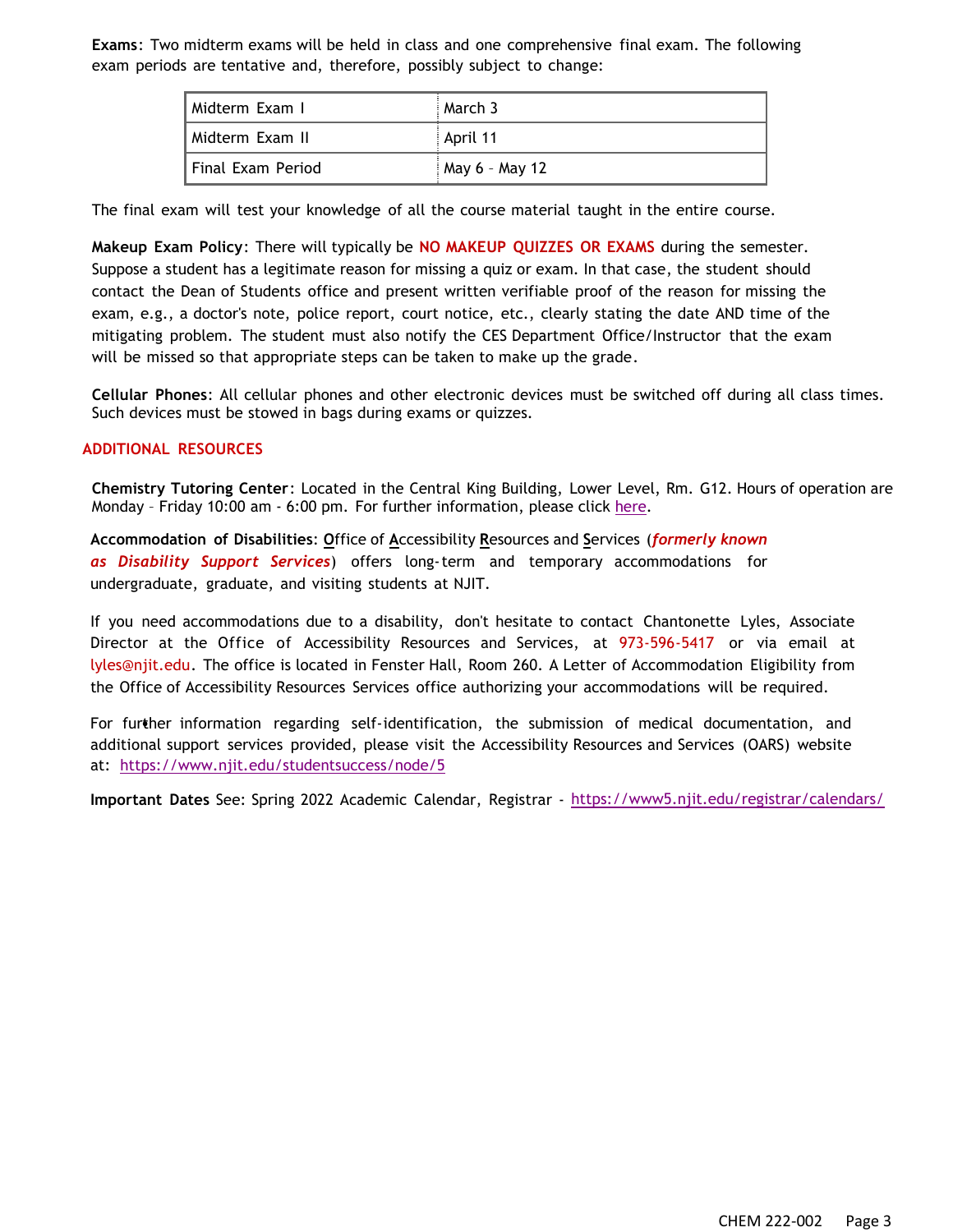**Exams**: Two midterm exams will be held in class and one comprehensive final exam. The following exam periods are tentative and, therefore, possibly subject to change:

| Midterm Exam I    | March 3        |
|-------------------|----------------|
| Midterm Exam II   | April 11       |
| Final Exam Period | May 6 - May 12 |

The final exam will test your knowledge of all the course material taught in the entire course.

**Makeup Exam Policy**: There will typically be **NO MAKEUP QUIZZES OR EXAMS** during the semester. Suppose a student has a legitimate reason for missing a quiz or exam. In that case, the student should contact the Dean of Students office and present written verifiable proof of the reason for missing the exam, e.g., a doctor's note, police report, court notice, etc., clearly stating the date AND time of the mitigating problem. The student must also notify the CES Department Office/Instructor that the exam will be missed so that appropriate steps can be taken to make up the grade.

**Cellular Phones**: All cellular phones and other electronic devices must be switched off during all class times. Such devices must be stowed in bags during exams or quizzes.

#### **ADDITIONAL RESOURCES**

**Chemistry Tutoring Center**: Located in the Central King Building, Lower Level, Rm. G12. Hours of operation are Monday - Friday 10:00 am - 6:00 pm. For further information, please click [here.](http://chemistry.njit.edu/students/)

**Accommodation of Disabilities**: **O**ffice of **A**ccessibility **R**esources and **S**ervices (*formerly known as Disability Support Services*) offers long-term and temporary accommodations for undergraduate, graduate, and visiting students at NJIT.

If you need accommodations due to a disability, don't hesitate to contact Chantonette Lyles, Associate Director at the Office of Accessibility Resources and Services, at 973-596-5417 or via email at [lyles@njit.edu.](mailto:lyles@njit.edu) The office is located in Fenster Hall, Room 260. A Letter of Accommodation Eligibility from the Office of Accessibility Resources Services office authorizing your accommodations will be required.

For further information regarding self-identification, the submission of medical documentation, and additional support services provided, please visit the Accessibility Resources and Services (OARS) website at: <https://www.njit.edu/studentsuccess/node/5>

**Important Dates** See: Spring 2022 Academic Calendar, Registrar - <https://www5.njit.edu/registrar/calendars/>